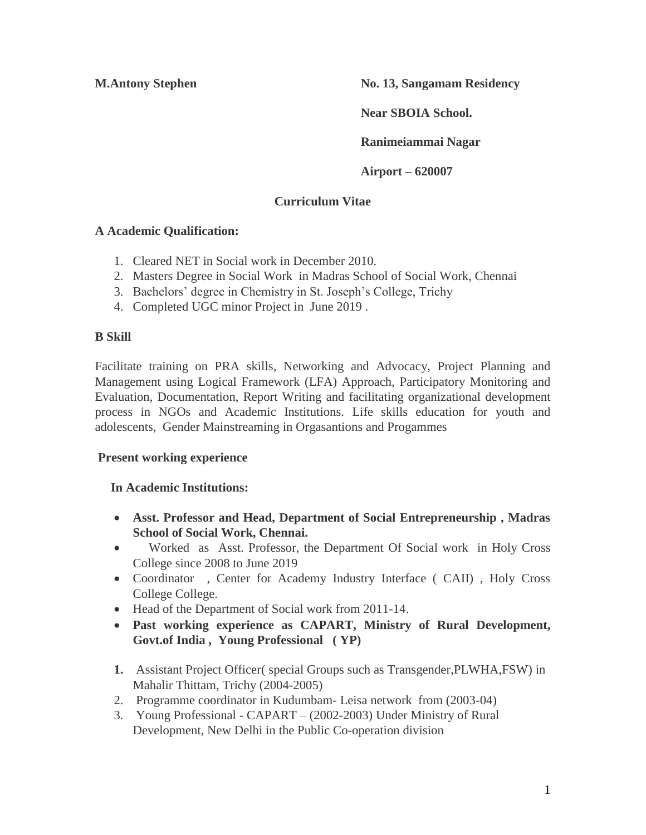**M.Antony Stephen No. 13, Sangamam Residency** 

**Near SBOIA School.** 

**Ranimeiammai Nagar** 

**Airport – 620007** 

# **Curriculum Vitae**

## **A Academic Qualification:**

- 1. Cleared NET in Social work in December 2010.
- 2. Masters Degree in Social Work in Madras School of Social Work, Chennai
- 3. Bachelors' degree in Chemistry in St. Joseph's College, Trichy
- 4. Completed UGC minor Project in June 2019 .

## **B Skill**

Facilitate training on PRA skills, Networking and Advocacy, Project Planning and Management using Logical Framework (LFA) Approach, Participatory Monitoring and Evaluation, Documentation, Report Writing and facilitating organizational development process in NGOs and Academic Institutions. Life skills education for youth and adolescents, Gender Mainstreaming in Orgasantions and Progammes

## **Present working experience**

## **In Academic Institutions:**

- **Asst. Professor and Head, Department of Social Entrepreneurship , Madras School of Social Work, Chennai.**
- Worked as Asst. Professor, the Department Of Social work in Holy Cross College since 2008 to June 2019
- Coordinator , Center for Academy Industry Interface ( CAII) , Holy Cross College College.
- Head of the Department of Social work from 2011-14.
- **Past working experience as CAPART, Ministry of Rural Development, Govt.of India , Young Professional ( YP)**
- **1.** Assistant Project Officer( special Groups such as Transgender,PLWHA,FSW) in Mahalir Thittam, Trichy (2004-2005)
- 2. Programme coordinator in Kudumbam- Leisa network from (2003-04)
- 3. Young Professional CAPART (2002-2003) Under Ministry of Rural Development, New Delhi in the Public Co-operation division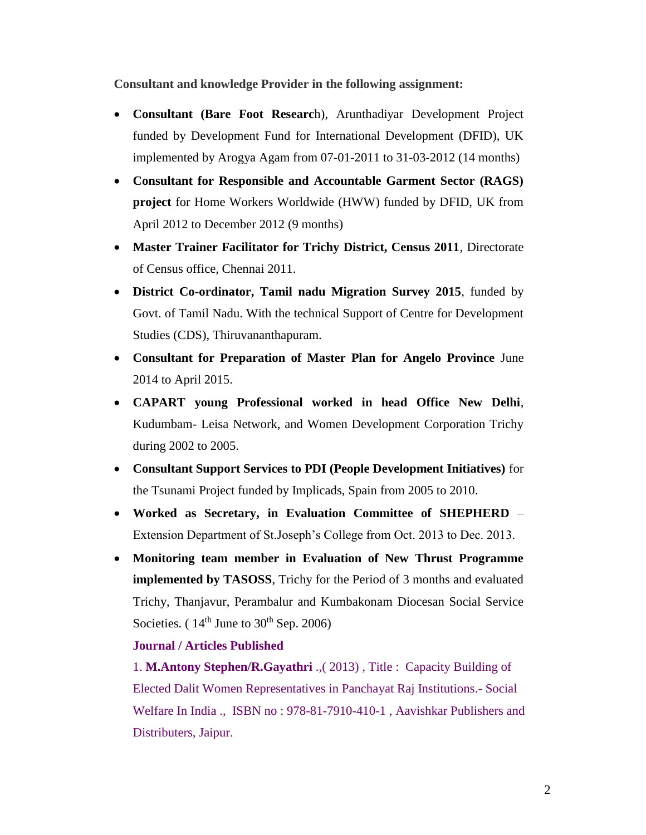**Consultant and knowledge Provider in the following assignment:** 

- **Consultant (Bare Foot Researc**h), Arunthadiyar Development Project funded by Development Fund for International Development (DFID), UK implemented by Arogya Agam from 07-01-2011 to 31-03-2012 (14 months)
- **Consultant for Responsible and Accountable Garment Sector (RAGS) project** for Home Workers Worldwide (HWW) funded by DFID, UK from April 2012 to December 2012 (9 months)
- **Master Trainer Facilitator for Trichy District, Census 2011**, Directorate of Census office, Chennai 2011.
- **District Co-ordinator, Tamil nadu Migration Survey 2015**, funded by Govt. of Tamil Nadu. With the technical Support of Centre for Development Studies (CDS), Thiruvananthapuram.
- **Consultant for Preparation of Master Plan for Angelo Province** June 2014 to April 2015.
- **CAPART young Professional worked in head Office New Delhi**, Kudumbam- Leisa Network, and Women Development Corporation Trichy during 2002 to 2005.
- **Consultant Support Services to PDI (People Development Initiatives)** for the Tsunami Project funded by Implicads, Spain from 2005 to 2010.
- **Worked as Secretary, in Evaluation Committee of SHEPHERD**  Extension Department of St.Joseph's College from Oct. 2013 to Dec. 2013.
- **Monitoring team member in Evaluation of New Thrust Programme implemented by TASOSS**, Trichy for the Period of 3 months and evaluated Trichy, Thanjavur, Perambalur and Kumbakonam Diocesan Social Service Societies. ( $14<sup>th</sup>$  June to  $30<sup>th</sup>$  Sep. 2006)

### **Journal / Articles Published**

1. **M.Antony Stephen/R.Gayathri** .,( 2013) , Title : Capacity Building of Elected Dalit Women Representatives in Panchayat Raj Institutions.- Social Welfare In India ., ISBN no : 978-81-7910-410-1 , Aavishkar Publishers and Distributers, Jaipur.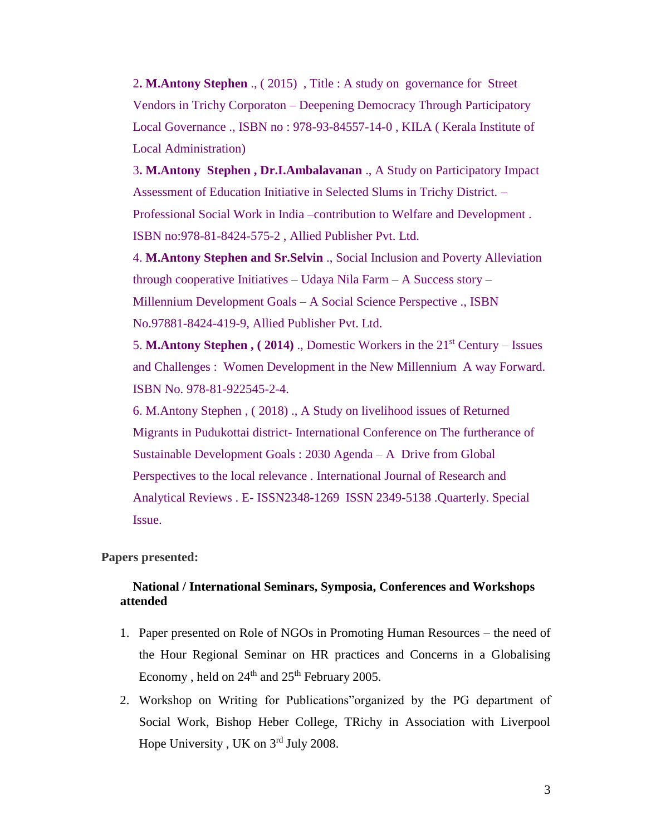2**. M.Antony Stephen** ., ( 2015) , Title : A study on governance for Street Vendors in Trichy Corporaton – Deepening Democracy Through Participatory Local Governance ., ISBN no : 978-93-84557-14-0 , KILA ( Kerala Institute of Local Administration)

3**. M.Antony Stephen , Dr.I.Ambalavanan** ., A Study on Participatory Impact Assessment of Education Initiative in Selected Slums in Trichy District. – Professional Social Work in India –contribution to Welfare and Development . ISBN no:978-81-8424-575-2 , Allied Publisher Pvt. Ltd.

4. **M.Antony Stephen and Sr.Selvin** ., Social Inclusion and Poverty Alleviation through cooperative Initiatives – Udaya Nila Farm – A Success story – Millennium Development Goals – A Social Science Perspective ., ISBN No.97881-8424-419-9, Allied Publisher Pvt. Ltd.

5. **M.Antony Stephen , ( 2014)** ., Domestic Workers in the 21st Century – Issues and Challenges : Women Development in the New Millennium A way Forward. ISBN No. 978-81-922545-2-4.

6. M.Antony Stephen , ( 2018) ., A Study on livelihood issues of Returned Migrants in Pudukottai district- International Conference on The furtherance of Sustainable Development Goals : 2030 Agenda – A Drive from Global Perspectives to the local relevance . International Journal of Research and Analytical Reviews . E- ISSN2348-1269 ISSN 2349-5138 .Quarterly. Special Issue.

### **Papers presented:**

### **National / International Seminars, Symposia, Conferences and Workshops attended**

- 1. Paper presented on Role of NGOs in Promoting Human Resources the need of the Hour Regional Seminar on HR practices and Concerns in a Globalising Economy, held on 24<sup>th</sup> and 25<sup>th</sup> February 2005.
- 2. Workshop on Writing for Publications"organized by the PG department of Social Work, Bishop Heber College, TRichy in Association with Liverpool Hope University , UK on 3rd July 2008.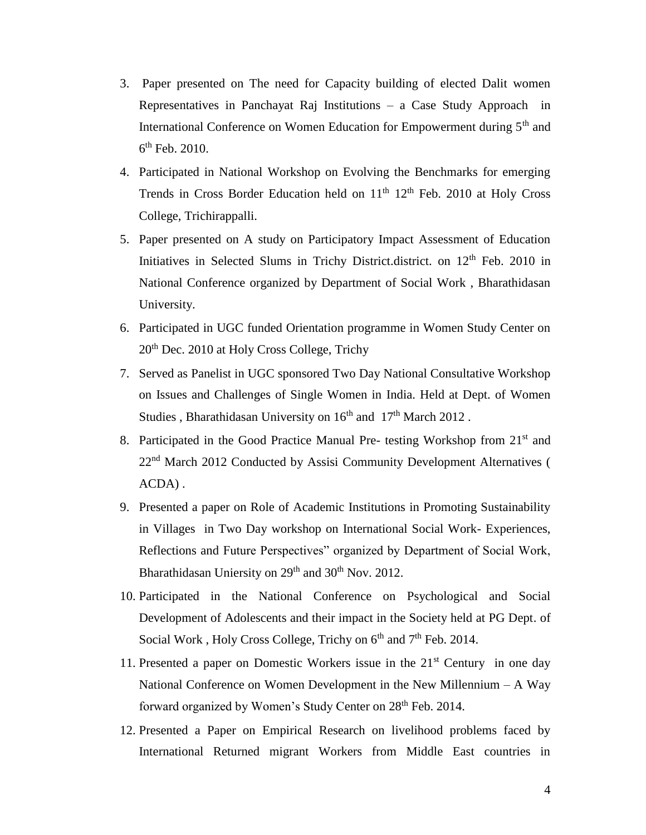- 3. Paper presented on The need for Capacity building of elected Dalit women Representatives in Panchayat Raj Institutions – a Case Study Approach in International Conference on Women Education for Empowerment during 5<sup>th</sup> and  $6<sup>th</sup>$  Feb. 2010.
- 4. Participated in National Workshop on Evolving the Benchmarks for emerging Trends in Cross Border Education held on  $11<sup>th</sup> 12<sup>th</sup>$  Feb. 2010 at Holy Cross College, Trichirappalli.
- 5. Paper presented on A study on Participatory Impact Assessment of Education Initiatives in Selected Slums in Trichy District.district. on 12<sup>th</sup> Feb. 2010 in National Conference organized by Department of Social Work , Bharathidasan University.
- 6. Participated in UGC funded Orientation programme in Women Study Center on 20th Dec. 2010 at Holy Cross College, Trichy
- 7. Served as Panelist in UGC sponsored Two Day National Consultative Workshop on Issues and Challenges of Single Women in India. Held at Dept. of Women Studies, Bharathidasan University on 16<sup>th</sup> and 17<sup>th</sup> March 2012.
- 8. Participated in the Good Practice Manual Pre- testing Workshop from 21<sup>st</sup> and 22<sup>nd</sup> March 2012 Conducted by Assisi Community Development Alternatives ( ACDA) .
- 9. Presented a paper on Role of Academic Institutions in Promoting Sustainability in Villages in Two Day workshop on International Social Work- Experiences, Reflections and Future Perspectives" organized by Department of Social Work, Bharathidasan Uniersity on  $29<sup>th</sup>$  and  $30<sup>th</sup>$  Nov. 2012.
- 10. Participated in the National Conference on Psychological and Social Development of Adolescents and their impact in the Society held at PG Dept. of Social Work, Holy Cross College, Trichy on  $6<sup>th</sup>$  and  $7<sup>th</sup>$  Feb. 2014.
- 11. Presented a paper on Domestic Workers issue in the  $21<sup>st</sup>$  Century in one day National Conference on Women Development in the New Millennium – A Way forward organized by Women's Study Center on 28<sup>th</sup> Feb. 2014.
- 12. Presented a Paper on Empirical Research on livelihood problems faced by International Returned migrant Workers from Middle East countries in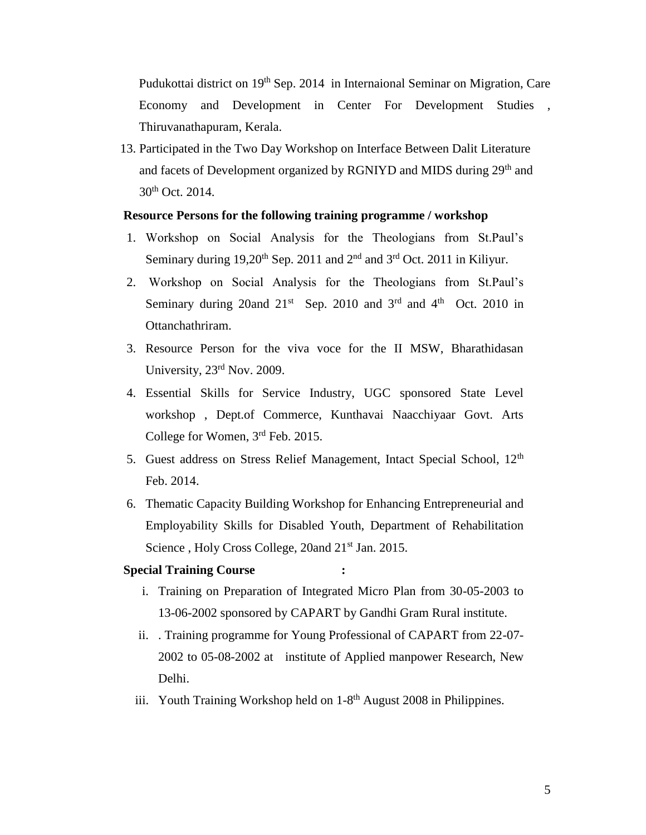Pudukottai district on 19<sup>th</sup> Sep. 2014 in Internaional Seminar on Migration, Care Economy and Development in Center For Development Studies , Thiruvanathapuram, Kerala.

13. Participated in the Two Day Workshop on Interface Between Dalit Literature and facets of Development organized by RGNIYD and MIDS during 29<sup>th</sup> and 30th Oct. 2014.

#### **Resource Persons for the following training programme / workshop**

- 1. Workshop on Social Analysis for the Theologians from St.Paul's Seminary during  $19,20^{th}$  Sep. 2011 and  $2^{nd}$  and  $3^{rd}$  Oct. 2011 in Kiliyur.
- 2. Workshop on Social Analysis for the Theologians from St.Paul's Seminary during 20 and  $21^{st}$  Sep. 2010 and  $3^{rd}$  and  $4^{th}$  Oct. 2010 in Ottanchathriram.
- 3. Resource Person for the viva voce for the II MSW, Bharathidasan University, 23rd Nov. 2009.
- 4. Essential Skills for Service Industry, UGC sponsored State Level workshop , Dept.of Commerce, Kunthavai Naacchiyaar Govt. Arts College for Women, 3rd Feb. 2015.
- 5. Guest address on Stress Relief Management, Intact Special School, 12<sup>th</sup> Feb. 2014.
- 6. Thematic Capacity Building Workshop for Enhancing Entrepreneurial and Employability Skills for Disabled Youth, Department of Rehabilitation Science, Holy Cross College, 20and 21<sup>st</sup> Jan. 2015.

### **Special Training Course :**

- i. Training on Preparation of Integrated Micro Plan from 30-05-2003 to 13-06-2002 sponsored by CAPART by Gandhi Gram Rural institute.
- ii. . Training programme for Young Professional of CAPART from 22-07- 2002 to 05-08-2002 at institute of Applied manpower Research, New Delhi.
- iii. Youth Training Workshop held on 1-8<sup>th</sup> August 2008 in Philippines.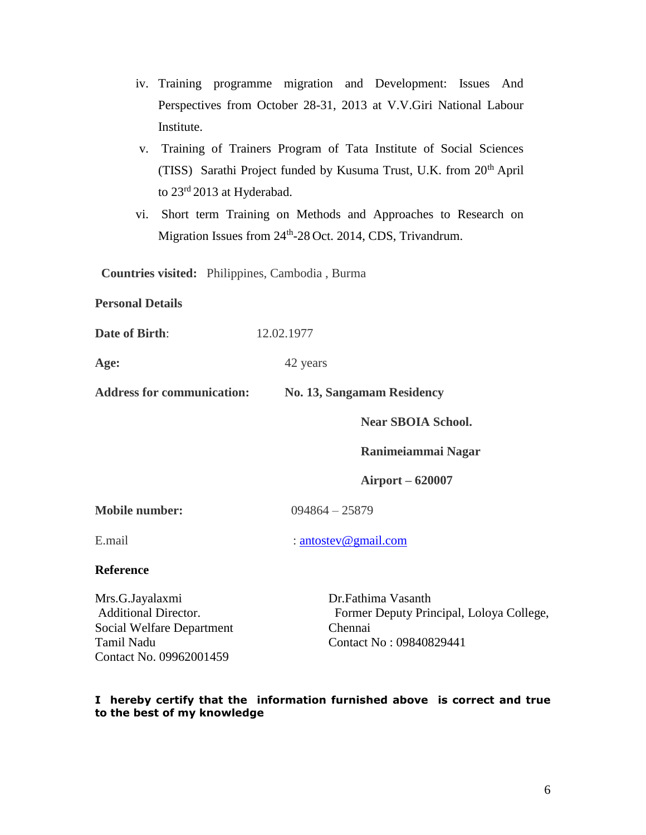- iv. Training programme migration and Development: Issues And Perspectives from October 28-31, 2013 at V.V.Giri National Labour Institute.
- v. Training of Trainers Program of Tata Institute of Social Sciences (TISS) Sarathi Project funded by Kusuma Trust, U.K. from  $20<sup>th</sup>$  April to 23<sup>rd</sup> 2013 at Hyderabad.
- vi. Short term Training on Methods and Approaches to Research on Migration Issues from 24<sup>th</sup>-28 Oct. 2014, CDS, Trivandrum.

**Countries visited:** Philippines, Cambodia , Burma

**Personal Details** 

**Date of Birth:** 12.02.1977

Age: 42 years

**Address for communication: No. 13, Sangamam Residency**

**Near SBOIA School.** 

**Ranimeiammai Nagar** 

**Airport – 620007** 

**Mobile number:** 094864 – 25879

E.mail : [antostev@gmail.com](mailto:antostev@gmail.com)

### **Reference**

Mrs.G.Jayalaxmi Additional Director. Social Welfare Department Tamil Nadu Contact No. 09962001459

Dr.Fathima Vasanth Former Deputy Principal, Loloya College, Chennai Contact No : 09840829441

### **I hereby certify that the information furnished above is correct and true to the best of my knowledge**